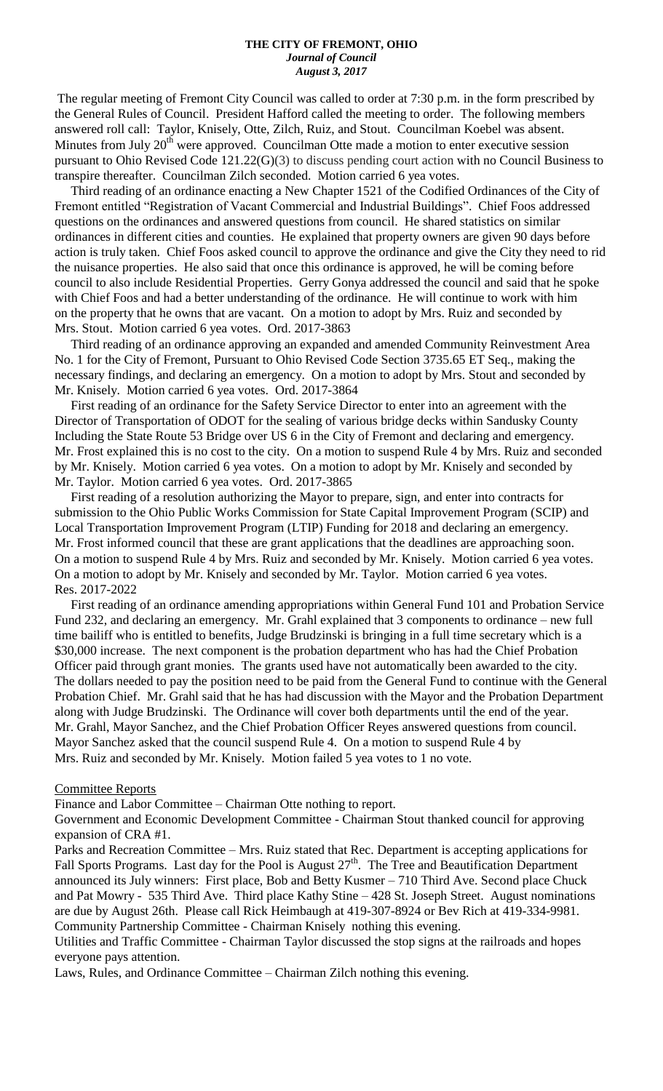#### **THE CITY OF FREMONT, OHIO** *Journal of Council August 3, 2017*

The regular meeting of Fremont City Council was called to order at 7:30 p.m. in the form prescribed by the General Rules of Council. President Hafford called the meeting to order. The following members answered roll call: Taylor, Knisely, Otte, Zilch, Ruiz, and Stout. Councilman Koebel was absent. Minutes from July 20<sup>th</sup> were approved. Councilman Otte made a motion to enter executive session pursuant to Ohio Revised Code 121.22(G)(3) to discuss pending court action with no Council Business to transpire thereafter. Councilman Zilch seconded. Motion carried 6 yea votes.

 Third reading of an ordinance enacting a New Chapter 1521 of the Codified Ordinances of the City of Fremont entitled "Registration of Vacant Commercial and Industrial Buildings". Chief Foos addressed questions on the ordinances and answered questions from council. He shared statistics on similar ordinances in different cities and counties. He explained that property owners are given 90 days before action is truly taken. Chief Foos asked council to approve the ordinance and give the City they need to rid the nuisance properties. He also said that once this ordinance is approved, he will be coming before council to also include Residential Properties. Gerry Gonya addressed the council and said that he spoke with Chief Foos and had a better understanding of the ordinance. He will continue to work with him on the property that he owns that are vacant. On a motion to adopt by Mrs. Ruiz and seconded by Mrs. Stout. Motion carried 6 yea votes. Ord. 2017-3863

 Third reading of an ordinance approving an expanded and amended Community Reinvestment Area No. 1 for the City of Fremont, Pursuant to Ohio Revised Code Section 3735.65 ET Seq., making the necessary findings, and declaring an emergency. On a motion to adopt by Mrs. Stout and seconded by Mr. Knisely. Motion carried 6 yea votes. Ord. 2017-3864

 First reading of an ordinance for the Safety Service Director to enter into an agreement with the Director of Transportation of ODOT for the sealing of various bridge decks within Sandusky County Including the State Route 53 Bridge over US 6 in the City of Fremont and declaring and emergency. Mr. Frost explained this is no cost to the city. On a motion to suspend Rule 4 by Mrs. Ruiz and seconded by Mr. Knisely. Motion carried 6 yea votes. On a motion to adopt by Mr. Knisely and seconded by Mr. Taylor. Motion carried 6 yea votes. Ord. 2017-3865

 First reading of a resolution authorizing the Mayor to prepare, sign, and enter into contracts for submission to the Ohio Public Works Commission for State Capital Improvement Program (SCIP) and Local Transportation Improvement Program (LTIP) Funding for 2018 and declaring an emergency. Mr. Frost informed council that these are grant applications that the deadlines are approaching soon. On a motion to suspend Rule 4 by Mrs. Ruiz and seconded by Mr. Knisely. Motion carried 6 yea votes. On a motion to adopt by Mr. Knisely and seconded by Mr. Taylor. Motion carried 6 yea votes. Res. 2017-2022

 First reading of an ordinance amending appropriations within General Fund 101 and Probation Service Fund 232, and declaring an emergency. Mr. Grahl explained that 3 components to ordinance – new full time bailiff who is entitled to benefits, Judge Brudzinski is bringing in a full time secretary which is a \$30,000 increase. The next component is the probation department who has had the Chief Probation Officer paid through grant monies. The grants used have not automatically been awarded to the city. The dollars needed to pay the position need to be paid from the General Fund to continue with the General Probation Chief. Mr. Grahl said that he has had discussion with the Mayor and the Probation Department along with Judge Brudzinski. The Ordinance will cover both departments until the end of the year. Mr. Grahl, Mayor Sanchez, and the Chief Probation Officer Reyes answered questions from council. Mayor Sanchez asked that the council suspend Rule 4. On a motion to suspend Rule 4 by Mrs. Ruiz and seconded by Mr. Knisely. Motion failed 5 yea votes to 1 no vote.

#### Committee Reports

Finance and Labor Committee – Chairman Otte nothing to report.

Government and Economic Development Committee - Chairman Stout thanked council for approving expansion of CRA #1.

Parks and Recreation Committee – Mrs. Ruiz stated that Rec. Department is accepting applications for Fall Sports Programs. Last day for the Pool is August 27<sup>th</sup>. The Tree and Beautification Department announced its July winners: First place, Bob and Betty Kusmer – 710 Third Ave. Second place Chuck and Pat Mowry - 535 Third Ave. Third place Kathy Stine – 428 St. Joseph Street. August nominations are due by August 26th. Please call Rick Heimbaugh at 419-307-8924 or Bev Rich at 419-334-9981. Community Partnership Committee - Chairman Knisely nothing this evening.

Utilities and Traffic Committee - Chairman Taylor discussed the stop signs at the railroads and hopes everyone pays attention.

Laws, Rules, and Ordinance Committee – Chairman Zilch nothing this evening.